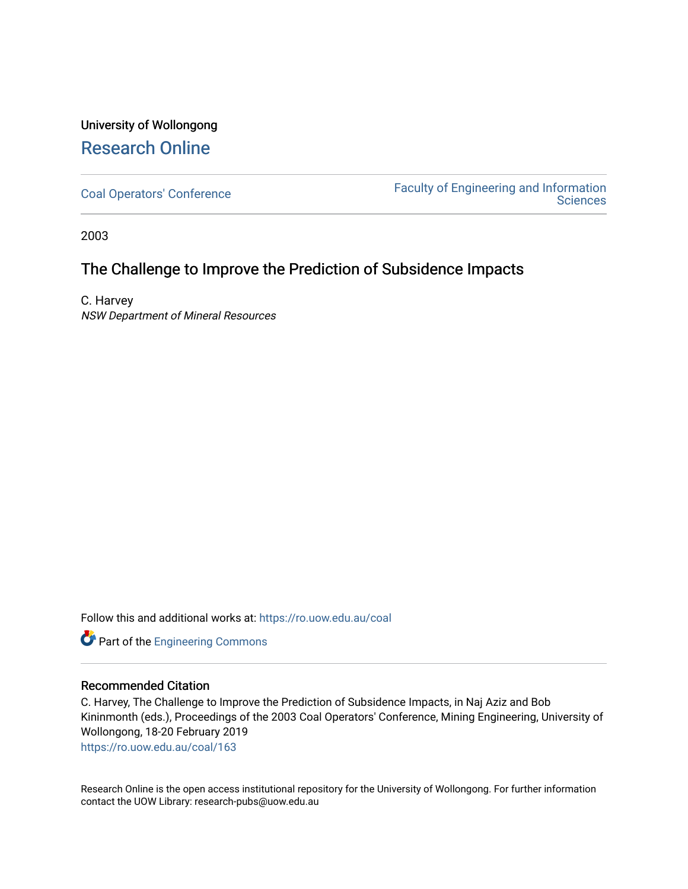# University of Wollongong [Research Online](https://ro.uow.edu.au/)

[Coal Operators' Conference](https://ro.uow.edu.au/coal) [Faculty of Engineering and Information](https://ro.uow.edu.au/eis)  **Sciences** 

2003

# The Challenge to Improve the Prediction of Subsidence Impacts

C. Harvey NSW Department of Mineral Resources

Follow this and additional works at: [https://ro.uow.edu.au/coal](https://ro.uow.edu.au/coal?utm_source=ro.uow.edu.au%2Fcoal%2F163&utm_medium=PDF&utm_campaign=PDFCoverPages) 

Part of the [Engineering Commons](http://network.bepress.com/hgg/discipline/217?utm_source=ro.uow.edu.au%2Fcoal%2F163&utm_medium=PDF&utm_campaign=PDFCoverPages)

## Recommended Citation

C. Harvey, The Challenge to Improve the Prediction of Subsidence Impacts, in Naj Aziz and Bob Kininmonth (eds.), Proceedings of the 2003 Coal Operators' Conference, Mining Engineering, University of Wollongong, 18-20 February 2019

[https://ro.uow.edu.au/coal/163](https://ro.uow.edu.au/coal/163?utm_source=ro.uow.edu.au%2Fcoal%2F163&utm_medium=PDF&utm_campaign=PDFCoverPages) 

Research Online is the open access institutional repository for the University of Wollongong. For further information contact the UOW Library: research-pubs@uow.edu.au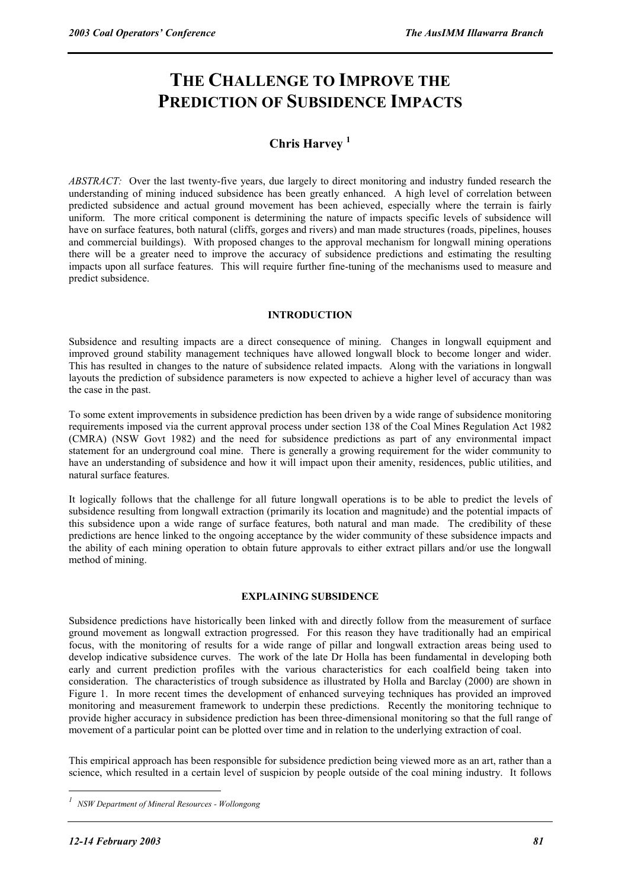# **THE CHALLENGE TO IMPROVE THE PREDICTION OF SUBSIDENCE IMPACTS**

# **Chris Harvey <sup>1</sup>**

*ABSTRACT:* Over the last twenty-five years, due largely to direct monitoring and industry funded research the understanding of mining induced subsidence has been greatly enhanced. A high level of correlation between predicted subsidence and actual ground movement has been achieved, especially where the terrain is fairly uniform. The more critical component is determining the nature of impacts specific levels of subsidence will have on surface features, both natural (cliffs, gorges and rivers) and man made structures (roads, pipelines, houses and commercial buildings). With proposed changes to the approval mechanism for longwall mining operations there will be a greater need to improve the accuracy of subsidence predictions and estimating the resulting impacts upon all surface features. This will require further fine-tuning of the mechanisms used to measure and predict subsidence.

#### **INTRODUCTION**

Subsidence and resulting impacts are a direct consequence of mining. Changes in longwall equipment and improved ground stability management techniques have allowed longwall block to become longer and wider. This has resulted in changes to the nature of subsidence related impacts. Along with the variations in longwall layouts the prediction of subsidence parameters is now expected to achieve a higher level of accuracy than was the case in the past.

To some extent improvements in subsidence prediction has been driven by a wide range of subsidence monitoring requirements imposed via the current approval process under section 138 of the Coal Mines Regulation Act 1982 (CMRA) (NSW Govt 1982) and the need for subsidence predictions as part of any environmental impact statement for an underground coal mine. There is generally a growing requirement for the wider community to have an understanding of subsidence and how it will impact upon their amenity, residences, public utilities, and natural surface features.

It logically follows that the challenge for all future longwall operations is to be able to predict the levels of subsidence resulting from longwall extraction (primarily its location and magnitude) and the potential impacts of this subsidence upon a wide range of surface features, both natural and man made. The credibility of these predictions are hence linked to the ongoing acceptance by the wider community of these subsidence impacts and the ability of each mining operation to obtain future approvals to either extract pillars and/or use the longwall method of mining.

## **EXPLAINING SUBSIDENCE**

Subsidence predictions have historically been linked with and directly follow from the measurement of surface ground movement as longwall extraction progressed. For this reason they have traditionally had an empirical focus, with the monitoring of results for a wide range of pillar and longwall extraction areas being used to develop indicative subsidence curves. The work of the late Dr Holla has been fundamental in developing both early and current prediction profiles with the various characteristics for each coalfield being taken into consideration. The characteristics of trough subsidence as illustrated by Holla and Barclay (2000) are shown in Figure 1. In more recent times the development of enhanced surveying techniques has provided an improved monitoring and measurement framework to underpin these predictions. Recently the monitoring technique to provide higher accuracy in subsidence prediction has been three-dimensional monitoring so that the full range of movement of a particular point can be plotted over time and in relation to the underlying extraction of coal.

This empirical approach has been responsible for subsidence prediction being viewed more as an art, rather than a science, which resulted in a certain level of suspicion by people outside of the coal mining industry. It follows

 $\overline{a}$ 

*<sup>1</sup> NSW Department of Mineral Resources - Wollongong*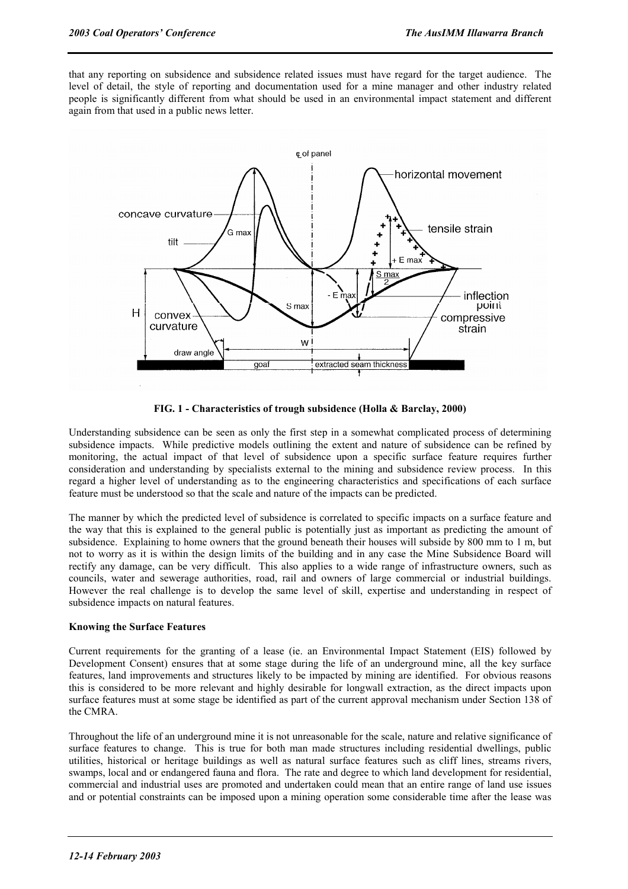that any reporting on subsidence and subsidence related issues must have regard for the target audience. The level of detail, the style of reporting and documentation used for a mine manager and other industry related people is significantly different from what should be used in an environmental impact statement and different again from that used in a public news letter.



**FIG. 1 - Characteristics of trough subsidence (Holla & Barclay, 2000)** 

Understanding subsidence can be seen as only the first step in a somewhat complicated process of determining subsidence impacts. While predictive models outlining the extent and nature of subsidence can be refined by monitoring, the actual impact of that level of subsidence upon a specific surface feature requires further consideration and understanding by specialists external to the mining and subsidence review process. In this regard a higher level of understanding as to the engineering characteristics and specifications of each surface feature must be understood so that the scale and nature of the impacts can be predicted.

The manner by which the predicted level of subsidence is correlated to specific impacts on a surface feature and the way that this is explained to the general public is potentially just as important as predicting the amount of subsidence. Explaining to home owners that the ground beneath their houses will subside by 800 mm to 1 m, but not to worry as it is within the design limits of the building and in any case the Mine Subsidence Board will rectify any damage, can be very difficult. This also applies to a wide range of infrastructure owners, such as councils, water and sewerage authorities, road, rail and owners of large commercial or industrial buildings. However the real challenge is to develop the same level of skill, expertise and understanding in respect of subsidence impacts on natural features.

#### **Knowing the Surface Features**

Current requirements for the granting of a lease (ie. an Environmental Impact Statement (EIS) followed by Development Consent) ensures that at some stage during the life of an underground mine, all the key surface features, land improvements and structures likely to be impacted by mining are identified. For obvious reasons this is considered to be more relevant and highly desirable for longwall extraction, as the direct impacts upon surface features must at some stage be identified as part of the current approval mechanism under Section 138 of the CMRA.

Throughout the life of an underground mine it is not unreasonable for the scale, nature and relative significance of surface features to change. This is true for both man made structures including residential dwellings, public utilities, historical or heritage buildings as well as natural surface features such as cliff lines, streams rivers, swamps, local and or endangered fauna and flora. The rate and degree to which land development for residential, commercial and industrial uses are promoted and undertaken could mean that an entire range of land use issues and or potential constraints can be imposed upon a mining operation some considerable time after the lease was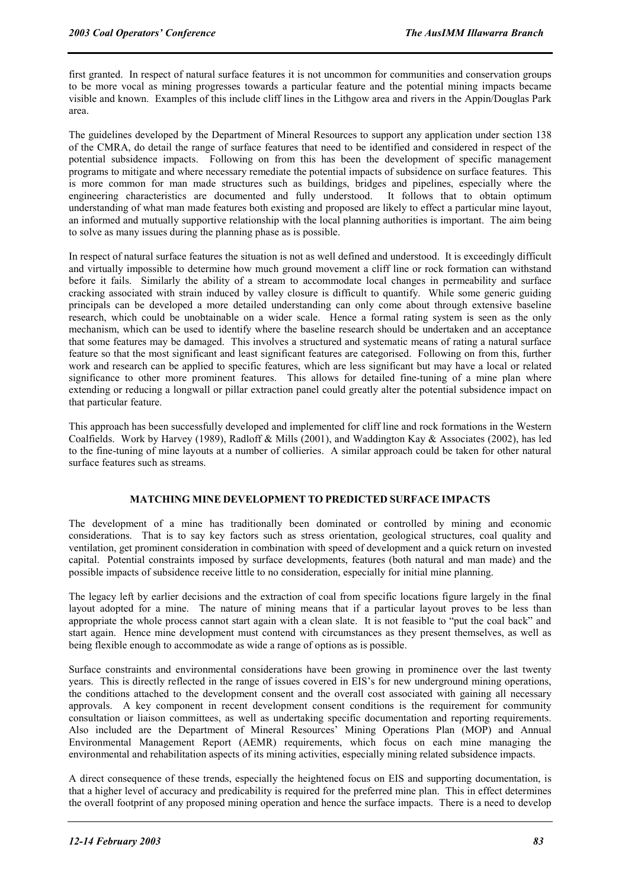first granted. In respect of natural surface features it is not uncommon for communities and conservation groups to be more vocal as mining progresses towards a particular feature and the potential mining impacts became visible and known. Examples of this include cliff lines in the Lithgow area and rivers in the Appin/Douglas Park area.

The guidelines developed by the Department of Mineral Resources to support any application under section 138 of the CMRA, do detail the range of surface features that need to be identified and considered in respect of the potential subsidence impacts. Following on from this has been the development of specific management programs to mitigate and where necessary remediate the potential impacts of subsidence on surface features. This is more common for man made structures such as buildings, bridges and pipelines, especially where the engineering characteristics are documented and fully understood. It follows that to obtain optimum understanding of what man made features both existing and proposed are likely to effect a particular mine layout, an informed and mutually supportive relationship with the local planning authorities is important. The aim being to solve as many issues during the planning phase as is possible.

In respect of natural surface features the situation is not as well defined and understood. It is exceedingly difficult and virtually impossible to determine how much ground movement a cliff line or rock formation can withstand before it fails. Similarly the ability of a stream to accommodate local changes in permeability and surface cracking associated with strain induced by valley closure is difficult to quantify. While some generic guiding principals can be developed a more detailed understanding can only come about through extensive baseline research, which could be unobtainable on a wider scale. Hence a formal rating system is seen as the only mechanism, which can be used to identify where the baseline research should be undertaken and an acceptance that some features may be damaged. This involves a structured and systematic means of rating a natural surface feature so that the most significant and least significant features are categorised. Following on from this, further work and research can be applied to specific features, which are less significant but may have a local or related significance to other more prominent features. This allows for detailed fine-tuning of a mine plan where extending or reducing a longwall or pillar extraction panel could greatly alter the potential subsidence impact on that particular feature.

This approach has been successfully developed and implemented for cliff line and rock formations in the Western Coalfields. Work by Harvey (1989), Radloff & Mills (2001), and Waddington Kay & Associates (2002), has led to the fine-tuning of mine layouts at a number of collieries. A similar approach could be taken for other natural surface features such as streams.

#### **MATCHING MINE DEVELOPMENT TO PREDICTED SURFACE IMPACTS**

The development of a mine has traditionally been dominated or controlled by mining and economic considerations. That is to say key factors such as stress orientation, geological structures, coal quality and ventilation, get prominent consideration in combination with speed of development and a quick return on invested capital. Potential constraints imposed by surface developments, features (both natural and man made) and the possible impacts of subsidence receive little to no consideration, especially for initial mine planning.

The legacy left by earlier decisions and the extraction of coal from specific locations figure largely in the final layout adopted for a mine. The nature of mining means that if a particular layout proves to be less than appropriate the whole process cannot start again with a clean slate. It is not feasible to "put the coal back" and start again. Hence mine development must contend with circumstances as they present themselves, as well as being flexible enough to accommodate as wide a range of options as is possible.

Surface constraints and environmental considerations have been growing in prominence over the last twenty years. This is directly reflected in the range of issues covered in EIS's for new underground mining operations, the conditions attached to the development consent and the overall cost associated with gaining all necessary approvals. A key component in recent development consent conditions is the requirement for community consultation or liaison committees, as well as undertaking specific documentation and reporting requirements. Also included are the Department of Mineral Resources' Mining Operations Plan (MOP) and Annual Environmental Management Report (AEMR) requirements, which focus on each mine managing the environmental and rehabilitation aspects of its mining activities, especially mining related subsidence impacts.

A direct consequence of these trends, especially the heightened focus on EIS and supporting documentation, is that a higher level of accuracy and predicability is required for the preferred mine plan. This in effect determines the overall footprint of any proposed mining operation and hence the surface impacts. There is a need to develop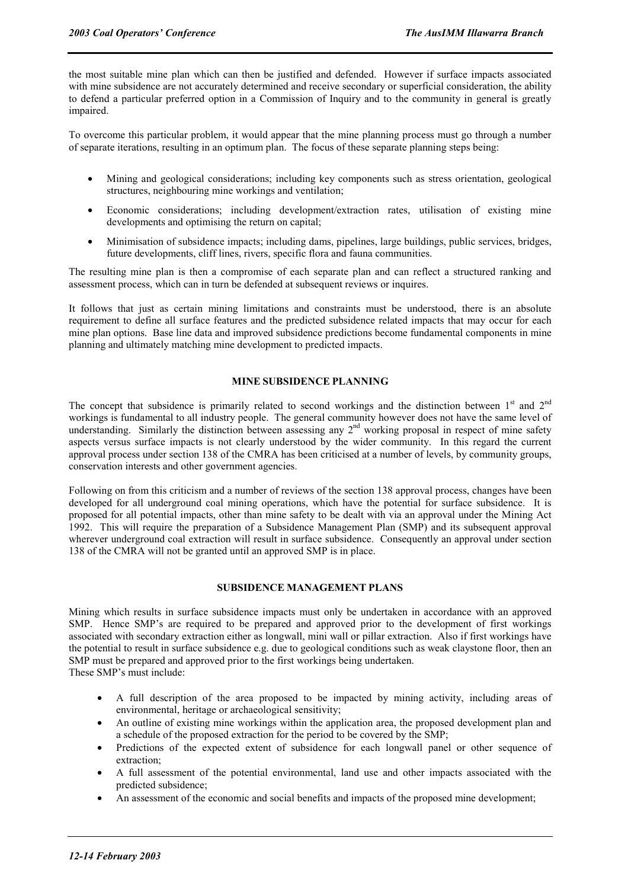the most suitable mine plan which can then be justified and defended. However if surface impacts associated with mine subsidence are not accurately determined and receive secondary or superficial consideration, the ability to defend a particular preferred option in a Commission of Inquiry and to the community in general is greatly impaired.

To overcome this particular problem, it would appear that the mine planning process must go through a number of separate iterations, resulting in an optimum plan. The focus of these separate planning steps being:

- Mining and geological considerations; including key components such as stress orientation, geological structures, neighbouring mine workings and ventilation;
- Economic considerations; including development/extraction rates, utilisation of existing mine developments and optimising the return on capital;
- Minimisation of subsidence impacts; including dams, pipelines, large buildings, public services, bridges, future developments, cliff lines, rivers, specific flora and fauna communities.

The resulting mine plan is then a compromise of each separate plan and can reflect a structured ranking and assessment process, which can in turn be defended at subsequent reviews or inquires.

It follows that just as certain mining limitations and constraints must be understood, there is an absolute requirement to define all surface features and the predicted subsidence related impacts that may occur for each mine plan options. Base line data and improved subsidence predictions become fundamental components in mine planning and ultimately matching mine development to predicted impacts.

#### **MINE SUBSIDENCE PLANNING**

The concept that subsidence is primarily related to second workings and the distinction between  $1<sup>st</sup>$  and  $2<sup>nd</sup>$ workings is fundamental to all industry people. The general community however does not have the same level of understanding. Similarly the distinction between assessing any  $2<sup>nd</sup>$  working proposal in respect of mine safety aspects versus surface impacts is not clearly understood by the wider community. In this regard the current approval process under section 138 of the CMRA has been criticised at a number of levels, by community groups, conservation interests and other government agencies.

Following on from this criticism and a number of reviews of the section 138 approval process, changes have been developed for all underground coal mining operations, which have the potential for surface subsidence. It is proposed for all potential impacts, other than mine safety to be dealt with via an approval under the Mining Act 1992. This will require the preparation of a Subsidence Management Plan (SMP) and its subsequent approval wherever underground coal extraction will result in surface subsidence. Consequently an approval under section 138 of the CMRA will not be granted until an approved SMP is in place.

#### **SUBSIDENCE MANAGEMENT PLANS**

Mining which results in surface subsidence impacts must only be undertaken in accordance with an approved SMP. Hence SMP's are required to be prepared and approved prior to the development of first workings associated with secondary extraction either as longwall, mini wall or pillar extraction. Also if first workings have the potential to result in surface subsidence e.g. due to geological conditions such as weak claystone floor, then an SMP must be prepared and approved prior to the first workings being undertaken.

These SMP's must include:

- A full description of the area proposed to be impacted by mining activity, including areas of environmental, heritage or archaeological sensitivity;
- An outline of existing mine workings within the application area, the proposed development plan and a schedule of the proposed extraction for the period to be covered by the SMP;
- Predictions of the expected extent of subsidence for each longwall panel or other sequence of extraction;
- A full assessment of the potential environmental, land use and other impacts associated with the predicted subsidence;
- An assessment of the economic and social benefits and impacts of the proposed mine development;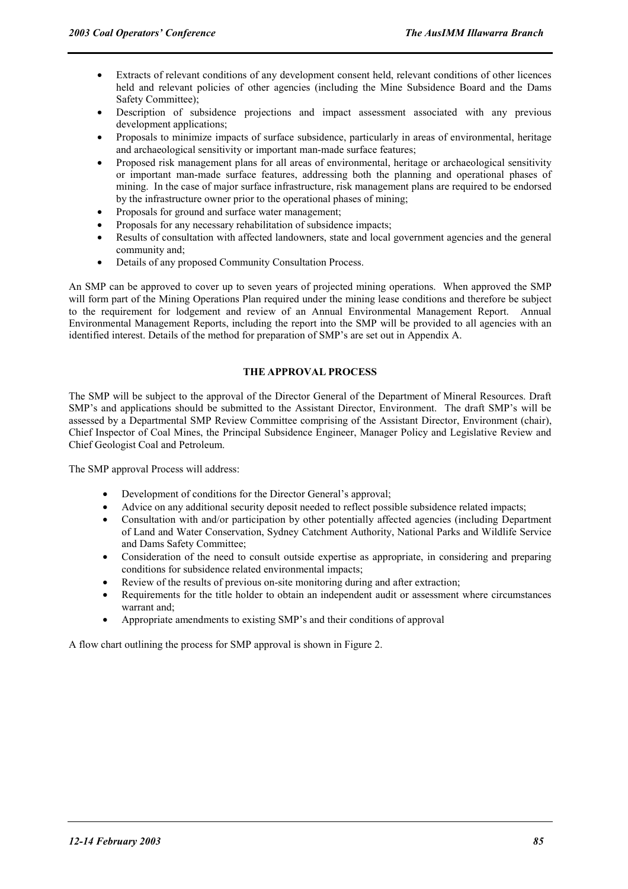- Extracts of relevant conditions of any development consent held, relevant conditions of other licences held and relevant policies of other agencies (including the Mine Subsidence Board and the Dams Safety Committee);
- Description of subsidence projections and impact assessment associated with any previous development applications:
- Proposals to minimize impacts of surface subsidence, particularly in areas of environmental, heritage and archaeological sensitivity or important man-made surface features;
- Proposed risk management plans for all areas of environmental, heritage or archaeological sensitivity or important man-made surface features, addressing both the planning and operational phases of mining. In the case of major surface infrastructure, risk management plans are required to be endorsed by the infrastructure owner prior to the operational phases of mining;
- Proposals for ground and surface water management;
- Proposals for any necessary rehabilitation of subsidence impacts;
- Results of consultation with affected landowners, state and local government agencies and the general community and;
- Details of any proposed Community Consultation Process.

An SMP can be approved to cover up to seven years of projected mining operations. When approved the SMP will form part of the Mining Operations Plan required under the mining lease conditions and therefore be subject to the requirement for lodgement and review of an Annual Environmental Management Report. Annual Environmental Management Reports, including the report into the SMP will be provided to all agencies with an identified interest. Details of the method for preparation of SMP's are set out in Appendix A.

#### **THE APPROVAL PROCESS**

The SMP will be subject to the approval of the Director General of the Department of Mineral Resources. Draft SMP's and applications should be submitted to the Assistant Director, Environment. The draft SMP's will be assessed by a Departmental SMP Review Committee comprising of the Assistant Director, Environment (chair), Chief Inspector of Coal Mines, the Principal Subsidence Engineer, Manager Policy and Legislative Review and Chief Geologist Coal and Petroleum.

The SMP approval Process will address:

- Development of conditions for the Director General's approval;
- Advice on any additional security deposit needed to reflect possible subsidence related impacts;
- Consultation with and/or participation by other potentially affected agencies (including Department of Land and Water Conservation, Sydney Catchment Authority, National Parks and Wildlife Service and Dams Safety Committee;
- Consideration of the need to consult outside expertise as appropriate, in considering and preparing conditions for subsidence related environmental impacts;
- Review of the results of previous on-site monitoring during and after extraction;
- Requirements for the title holder to obtain an independent audit or assessment where circumstances warrant and;
- Appropriate amendments to existing SMP's and their conditions of approval

A flow chart outlining the process for SMP approval is shown in Figure 2.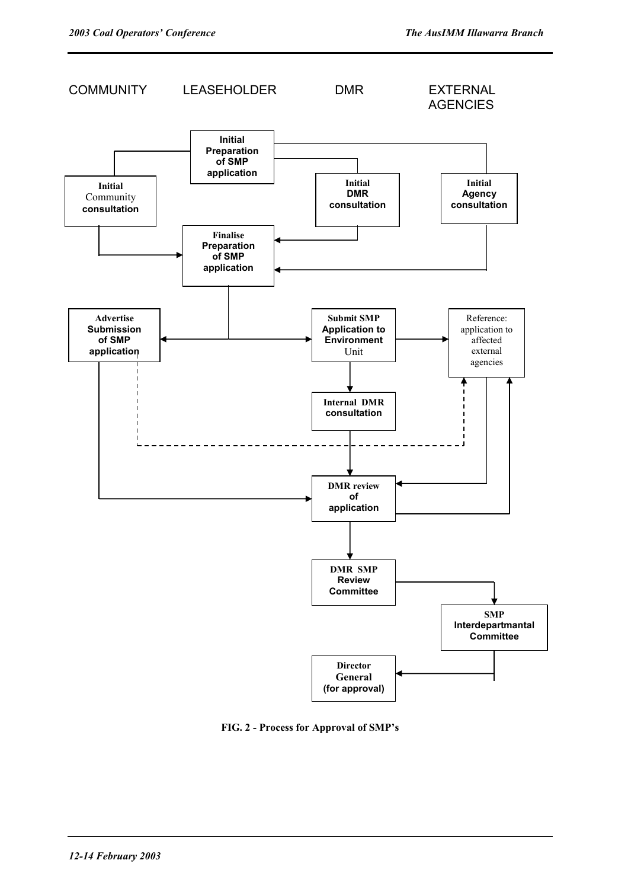

**FIG. 2 - Process for Approval of SMP's**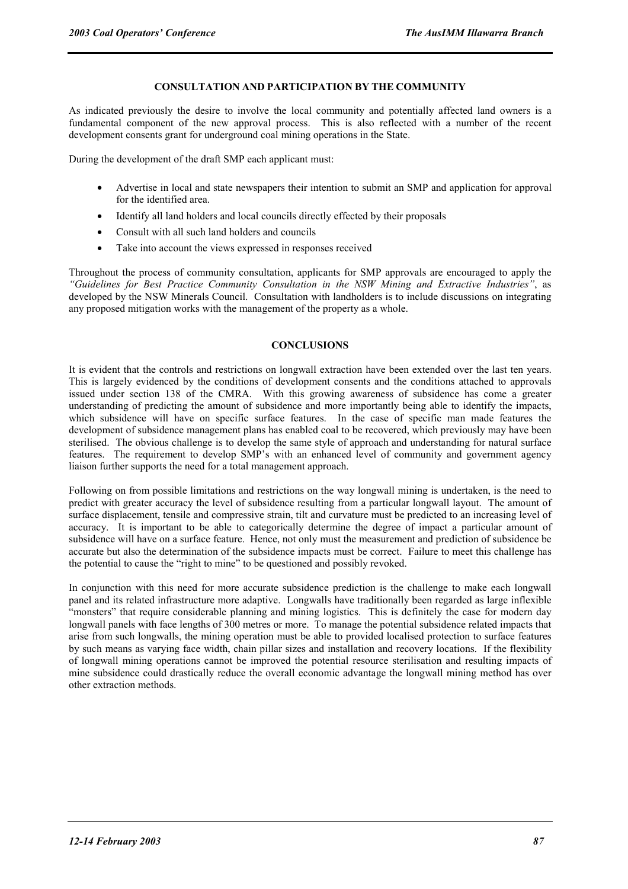## **CONSULTATION AND PARTICIPATION BY THE COMMUNITY**

As indicated previously the desire to involve the local community and potentially affected land owners is a fundamental component of the new approval process. This is also reflected with a number of the recent development consents grant for underground coal mining operations in the State.

During the development of the draft SMP each applicant must:

- Advertise in local and state newspapers their intention to submit an SMP and application for approval for the identified area.
- Identify all land holders and local councils directly effected by their proposals
- Consult with all such land holders and councils
- Take into account the views expressed in responses received

Throughout the process of community consultation, applicants for SMP approvals are encouraged to apply the *"Guidelines for Best Practice Community Consultation in the NSW Mining and Extractive Industries"*, as developed by the NSW Minerals Council. Consultation with landholders is to include discussions on integrating any proposed mitigation works with the management of the property as a whole.

#### **CONCLUSIONS**

It is evident that the controls and restrictions on longwall extraction have been extended over the last ten years. This is largely evidenced by the conditions of development consents and the conditions attached to approvals issued under section 138 of the CMRA. With this growing awareness of subsidence has come a greater understanding of predicting the amount of subsidence and more importantly being able to identify the impacts, which subsidence will have on specific surface features. In the case of specific man made features the development of subsidence management plans has enabled coal to be recovered, which previously may have been sterilised. The obvious challenge is to develop the same style of approach and understanding for natural surface features. The requirement to develop SMP's with an enhanced level of community and government agency liaison further supports the need for a total management approach.

Following on from possible limitations and restrictions on the way longwall mining is undertaken, is the need to predict with greater accuracy the level of subsidence resulting from a particular longwall layout. The amount of surface displacement, tensile and compressive strain, tilt and curvature must be predicted to an increasing level of accuracy. It is important to be able to categorically determine the degree of impact a particular amount of subsidence will have on a surface feature. Hence, not only must the measurement and prediction of subsidence be accurate but also the determination of the subsidence impacts must be correct. Failure to meet this challenge has the potential to cause the "right to mine" to be questioned and possibly revoked.

In conjunction with this need for more accurate subsidence prediction is the challenge to make each longwall panel and its related infrastructure more adaptive. Longwalls have traditionally been regarded as large inflexible "monsters" that require considerable planning and mining logistics. This is definitely the case for modern day longwall panels with face lengths of 300 metres or more. To manage the potential subsidence related impacts that arise from such longwalls, the mining operation must be able to provided localised protection to surface features by such means as varying face width, chain pillar sizes and installation and recovery locations. If the flexibility of longwall mining operations cannot be improved the potential resource sterilisation and resulting impacts of mine subsidence could drastically reduce the overall economic advantage the longwall mining method has over other extraction methods.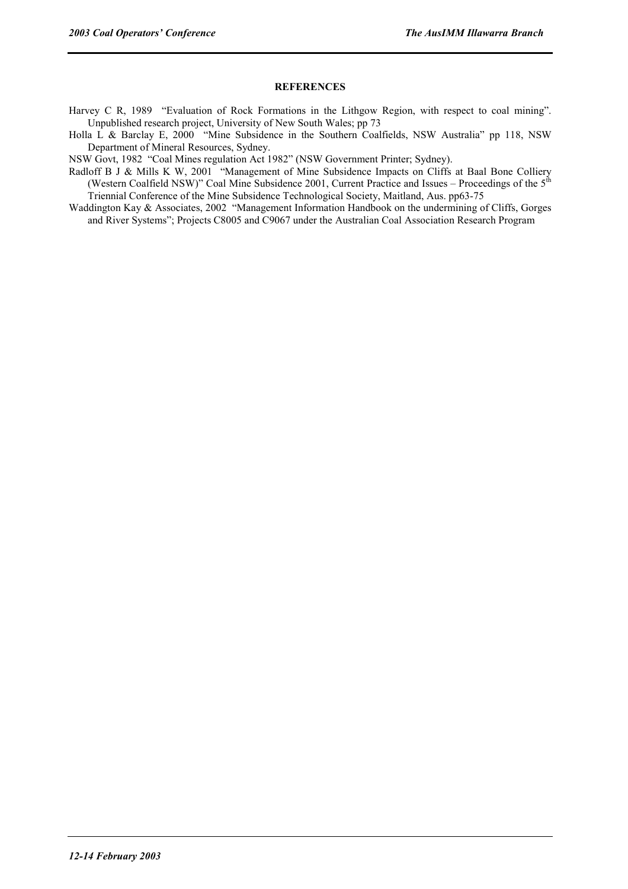# **REFERENCES**

- Harvey C R, 1989 "Evaluation of Rock Formations in the Lithgow Region, with respect to coal mining". Unpublished research project, University of New South Wales; pp 73
- Holla L & Barclay E, 2000 "Mine Subsidence in the Southern Coalfields, NSW Australia" pp 118, NSW Department of Mineral Resources, Sydney.

NSW Govt, 1982 "Coal Mines regulation Act 1982" (NSW Government Printer; Sydney).

- Radloff B J & Mills K W, 2001 "Management of Mine Subsidence Impacts on Cliffs at Baal Bone Colliery (Western Coalfield NSW)" Coal Mine Subsidence 2001, Current Practice and Issues – Proceedings of the  $5<sup>th</sup>$ Triennial Conference of the Mine Subsidence Technological Society, Maitland, Aus. pp63-75
- Waddington Kay & Associates, 2002 "Management Information Handbook on the undermining of Cliffs, Gorges and River Systems"; Projects C8005 and C9067 under the Australian Coal Association Research Program